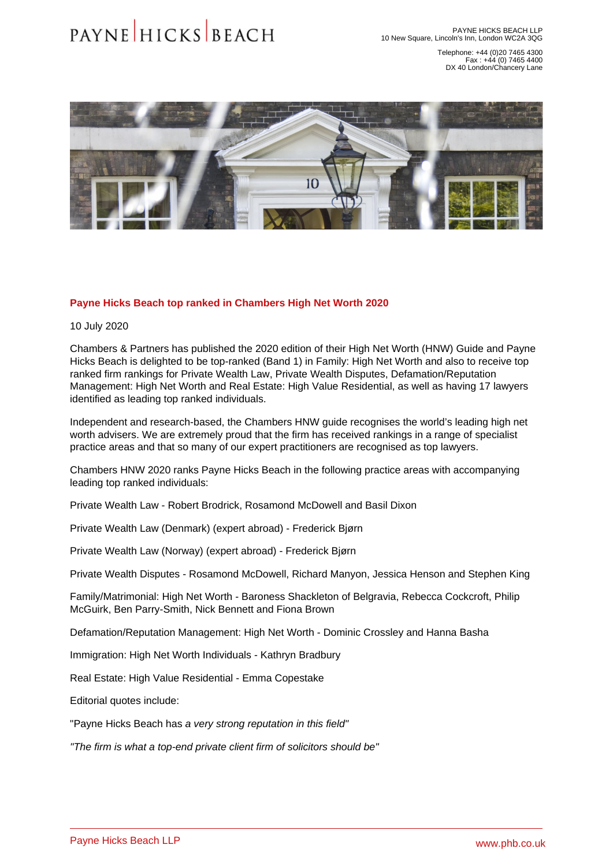Telephone: +44 (0)20 7465 4300 Fax : +44 (0) 7465 4400 DX 40 London/Chancery Lane

## Payne Hicks Beach top ranked in Chambers High Net Worth 2020

10 July 2020

Chambers & Partners has published the 2020 edition of their High Net Worth (HNW) Guide and Payne Hicks Beach is delighted to be top-ranked (Band 1) in Family: High Net Worth and also to receive top ranked firm rankings for Private Wealth Law, Private Wealth Disputes, Defamation/Reputation Management: High Net Worth and Real Estate: High Value Residential, as well as having 17 lawyers identified as leading top ranked individuals.

Independent and research-based, the Chambers HNW guide recognises the world's leading high net worth advisers. We are extremely proud that the firm has received rankings in a range of specialist practice areas and that so many of our expert practitioners are recognised as top lawyers.

Chambers HNW 2020 ranks Payne Hicks Beach in the following practice areas with accompanying leading top ranked individuals:

[Private Wealth Law](�� h t t p s : / / w w w . p h b . c o . u k / o u r - s e r v i c e s / p r i v a t e - c l i e n t) - [Robert Brodrick,](�� h t t p s : / / w w w . p h b . c o . u k / o u r - p e o p l e / p r o f i l e / r o b e r t - b r o d r i c k) [Rosamond McDowell](�� h t t p s : / / w w w . p h b . c o . u k / o u r - p e o p l e / p r o f i l e / r o s a m o n d - m c d o w e l l) and [Basil Dixon](�� h t t p s : / / w w w . p h b . c o . u k / o u r - p e o p l e / p r o f i l e / b a s i l - d i x o n)

[Private Wealth Law \(Denmark\) \(expert abroad\)](�� h t t p s : / / w w w . p h b . c o . u k / o u r - s e r v i c e s / p r i v a t e - c l i e n t / s c a n d i n a v i a) - [Frederick Bjørn](�� h t t p s : / / w w w . p h b . c o . u k / o u r - p e o p l e / p r o f i l e / f r e d e r i c k - b j o r n)

[Private Wealth Law \(Norway\) \(expert abroad\)](�� h t t p s : / / w w w . p h b . c o . u k / o u r - s e r v i c e s / p r i v a t e - c l i e n t / s c a n d i n a v i a) - [Frederick Bjørn](�� h t t p s : / / w w w . p h b . c o . u k / o u r - p e o p l e / p r o f i l e / f r e d e r i c k - b j o r n)

[Private Wealth Disputes](�� h t t p s : / / w w w . p h b . c o . u k / o u r - s e r v i c e s / d i s p u t e - r e s o l u t i o n / c o n t e n t i o u s - t r u s t s - p r o b a t e 1) - [Rosamond McDowell,](�� h t t p s : / / w w w . p h b . c o . u k / o u r - p e o p l e / p r o f i l e / r o s a m o n d - m c d o w e l l) [Richard Manyon](�� h t t p s : / / w w w . p h b . c o . u k / o u r - p e o p l e / p r o f i l e / r i c h a r d - m a n y o n), [Jessica Henson](�� h t t p s : / / w w w . p h b . c o . u k / o u r - p e o p l e / p r o f i l e / j e s s i c a - h e n s o n) and [Stephen King](�� h t t p s : / / w w w . p h b . c o . u k / o u r - p e o p l e / p r o f i l e / s t e p h e n - k i n g)

[Family/Matrimonial: High Net Worth](�� h t t p s : / / w w w . p h b . c o . u k / o u r - s e r v i c e s / f a m i l y) - [Baroness Shackleton of Belgravia,](�� h t t p s : / / w w w . p h b . c o . u k / o u r - p e o p l e / p r o f i l e / b a r o n e s s - s h a c k l e t o n - o f - b e l g r a v i a - l v o) [Rebecca Cockcroft,](�� h t t p s : / / w w w . p h b . c o . u k / o u r - p e o p l e / p r o f i l e / r e b e c c a - c o c k c r o f t) [Philip](�� h t t p s : / / w w w . p h b . c o . u k / o u r - p e o p l e / p r o f i l e / p h i l i p - m c g u i r k)  [McGuirk](�� h t t p s : / / w w w . p h b . c o . u k / o u r - p e o p l e / p r o f i l e / p h i l i p - m c g u i r k), [Ben Parry-Smith](�� h t t p s : / / w w w . p h b . c o . u k / o u r - p e o p l e / p r o f i l e / b e n - p a r r y - s m i t h), Nick Bennett and [Fiona Brown](�� h t t p s : / / w w w . p h b . c o . u k / o u r - p e o p l e / p r o f i l e / f i o n a - b r o w n)

[Defamation/Reputation Management: High Net Worth](�� h t t p s : / / w w w . p h b . c o . u k / o u r - s e r v i c e s / p r i v a c y - m e d i a - l a w) - [Dominic Crossley](�� h t t p s : / / w w w . p h b . c o . u k / o u r - p e o p l e / p r o f i l e / d o m i n i c - c r o s s l e y) and [Hanna Basha](�� h t t p s : / / w w w . p h b . c o . u k / o u r - p e o p l e / p r o f i l e / h a n n a - b a s h a)

[Immigration: High Net Worth Individuals](�� h t t p s : / / w w w . p h b . c o . u k / o u r - s e r v i c e s / c i t i z e n s h i p - i m m i g r a t i o n) - [Kathryn Bradbury](�� h t t p s : / / w w w . p h b . c o . u k / o u r - p e o p l e / p r o f i l e / k a t h r y n - b r a d b u r y)

[Real Estate: High Value Residential](�� h t t p s : / / w w w . p h b . c o . u k / o u r - s e r v i c e s / p r o p e r t y / r e s i d e n t i a l - p r o p e r t y 1) - [Emma Copestake](�� h t t p s : / / w w w . p h b . c o . u k / o u r - p e o p l e / p r o f i l e / e m m a - c o p e s t a k e)

Editorial quotes include:

"Payne Hicks Beach has a very strong reputation in this field"

"The firm is what a top-end private client firm of solicitors should be"